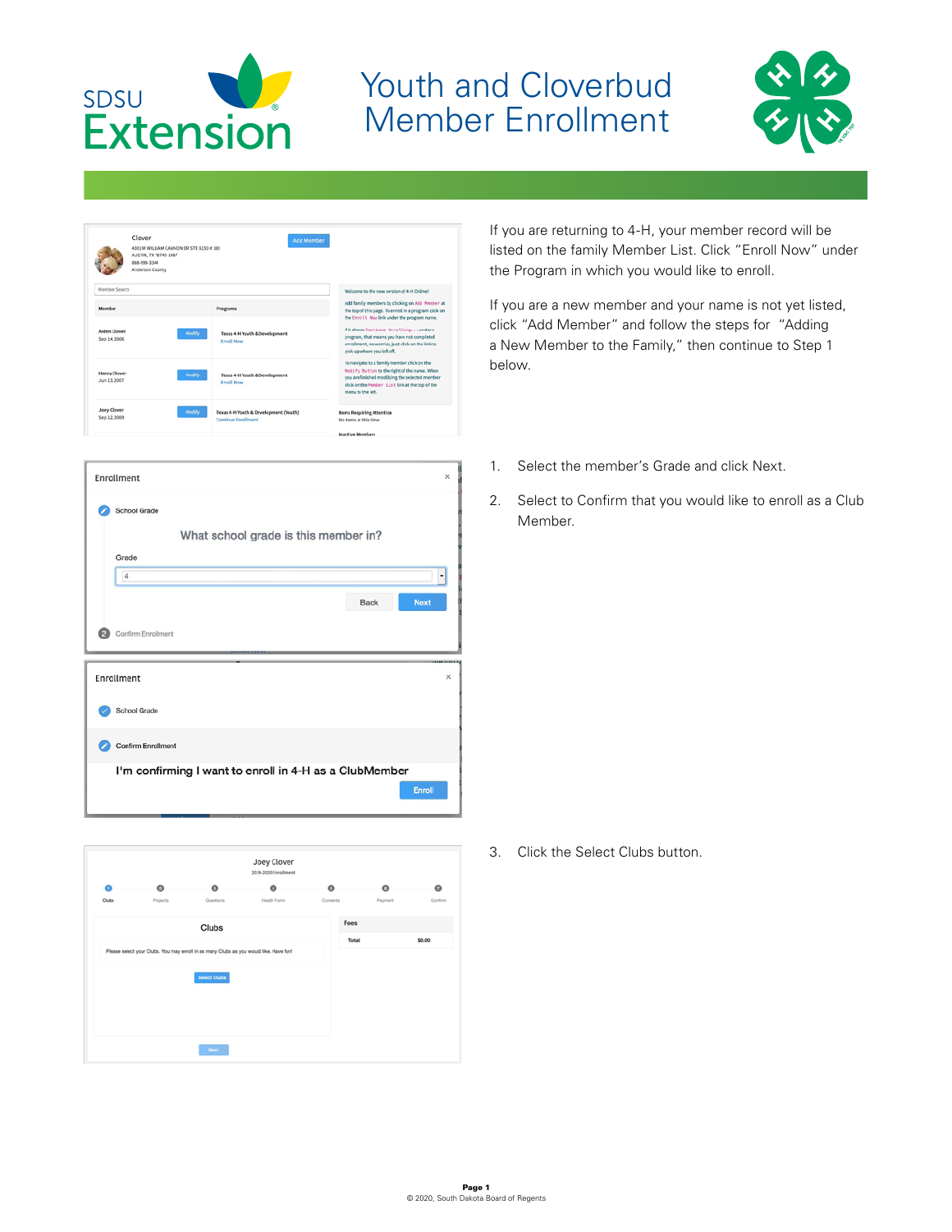

## Youth and Cloverbud Member Enrollment



| Clover<br>AUSTIN, TX 78745-1487<br>888-909-3344<br>Andemon County | 4301 W WILLIAM CANNON DR STE B150 # 180                                       | <b>Add Member</b>                                                                                                                                                                                                     |
|-------------------------------------------------------------------|-------------------------------------------------------------------------------|-----------------------------------------------------------------------------------------------------------------------------------------------------------------------------------------------------------------------|
| Member Search                                                     |                                                                               | Welcome to the new version of 4.8 Online!                                                                                                                                                                             |
| Member                                                            | Pregrams                                                                      | Add family members by clicking on Add Member at<br>the top of this page. To enroll in a program click on                                                                                                              |
| Aiden Cloyer<br>Sep 14, 2006                                      | Modify<br>Texas 4-H Youth & Development<br><b>Ervell News</b>                 | the Enroll. Now link under the program name.<br>Witshows Continue Enrollingundera<br>program, that means you have not completed<br>errollment, no worries, just click on the link to<br>pick up where you left off.   |
| Henry Clover<br>Jun 13, 2007                                      | Modify<br>Texas 4-H Youth & Development<br><b>Engel Now</b>                   | To navigate to a family member click on the<br>Modify Button to the right of the name. When<br>you are finished modifying the selected member<br>click on the Henber List link at the top of the<br>menu to the left. |
| Joey Clover<br>Sep 12, 2009                                       | Modify<br>Texas 4-H Youth & Development (Youth)<br><b>Continue Enrollment</b> | <b>Rems Requiring Attention</b><br>No items at this time                                                                                                                                                              |

| Enrollment                                             | $\times$                   |
|--------------------------------------------------------|----------------------------|
| School Grade                                           |                            |
| What school grade is this member in?                   |                            |
| Grade                                                  |                            |
| 4                                                      | $\cdot$                    |
|                                                        | <b>Next</b><br><b>Back</b> |
| Confirm Enrollment                                     |                            |
| Enrollment                                             | $\times$                   |
| School Grade                                           |                            |
| <b>Confirm Enrollment</b>                              |                            |
| I'm confirming I want to enroll in 4-H as a ClubMember |                            |



If you are returning to 4-H, your member record will be listed on the family Member List. Click "Enroll Now" under the Program in which you would like to enroll.

If you are a new member and your name is not yet listed, click "Add Member" and follow the steps for "Adding a New Member to the Family," then continue to Step 1 below.

- 1. Select the member's Grade and click Next.
- 2. Select to Confirm that you would like to enroll as a Club Member.

3. Click the Select Clubs button.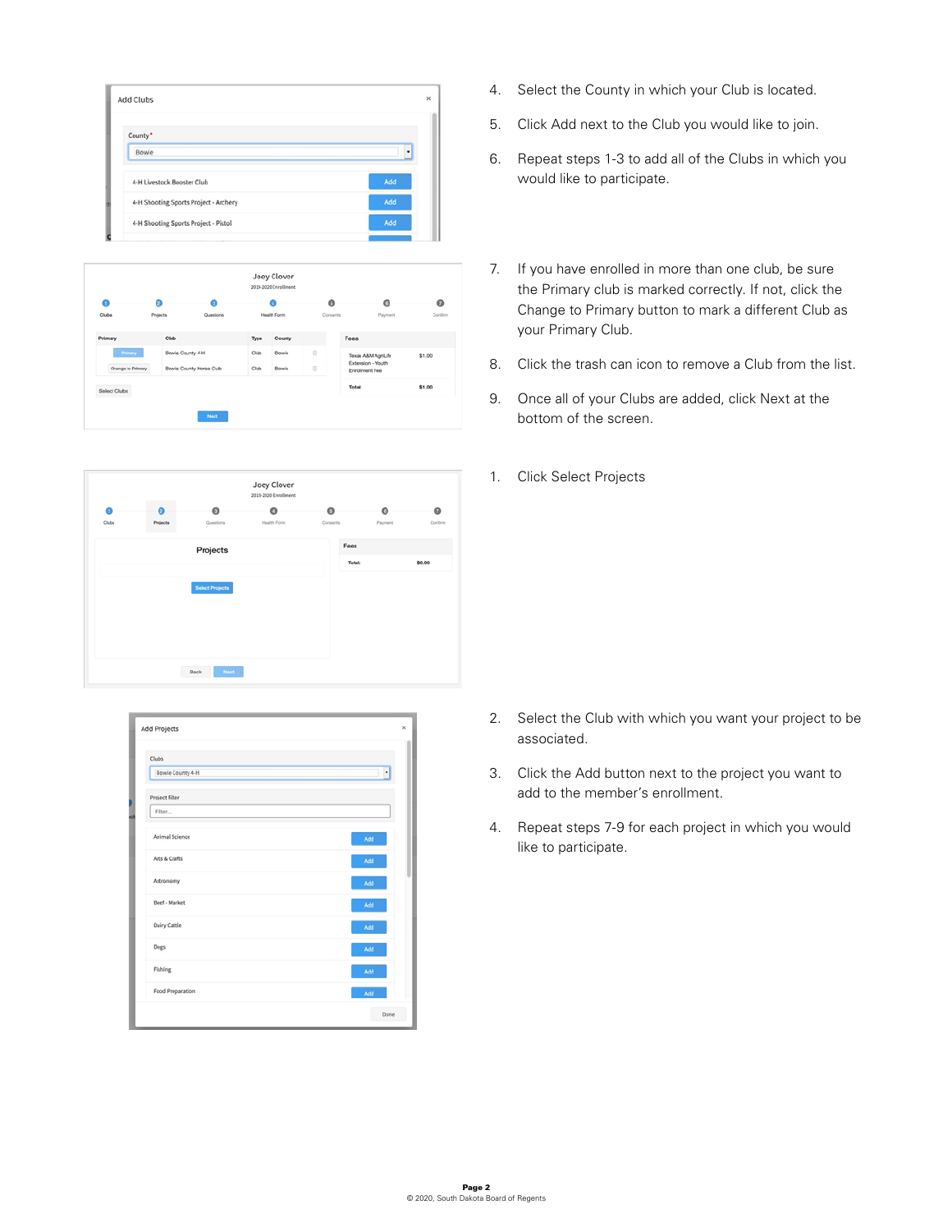| Add Clubs                             |     |
|---------------------------------------|-----|
| County *                              |     |
| Bowie                                 | ٠   |
| 4-H Livestock Booster Club            | Add |
| 4-H Shooting Sports Project - Archery | Add |
| 4-H Shooting Sports Project - Pistol  | Add |

| Q                 | ø                | a                      |      | a           | $\bullet$    | $\circ$                                   | 0       |
|-------------------|------------------|------------------------|------|-------------|--------------|-------------------------------------------|---------|
| Clubs             | <b>Projects</b>  | Questions              |      | Health Form | Consents     | Payment                                   | Confirm |
| Primary           | Club             |                        | Type | County      |              | Fees                                      |         |
| Primary           | Bowle County 4-H |                        | Club | Bowle       | <sup>o</sup> | Texas A&M AgriLife                        | \$1.00  |
| Change to Primary |                  | Bowie County Horse Cub | Club | Bowie       | 0            | Extension - Youth<br><b>Enrolment Fee</b> |         |
| Select Clubs      |                  |                        |      |             |              | Totalt                                    | \$1.00  |

|       |           |                        | Joey Clover<br>2011-2020 Enrollment |          |         |           |
|-------|-----------|------------------------|-------------------------------------|----------|---------|-----------|
|       | $\bullet$ | $\bullet$              | O                                   | ø        | o       | $\bullet$ |
| Clubs | Projects  | Questions              | Health Form                         | Conserts | Payment | Corfirm   |
|       |           | Projects               |                                     | Fees     |         |           |
|       |           |                        |                                     | Total:   |         | \$0.00    |
|       |           | <b>Select Projects</b> |                                     |          |         |           |
|       |           |                        |                                     |          |         |           |

| Clubs               |      |
|---------------------|------|
| Bowie County 4-H    |      |
| Project filter      |      |
| Filter              |      |
| Animal Science      | Add  |
| Arts & Crafts       | Add  |
| Astronomy           | Add  |
| Beef - Market       | Add  |
| <b>Dairy Cattle</b> | Add  |
| Dogs                | Add  |
| Fishing             | Add  |
| Food Preparation    | Add  |
|                     | Done |

- 4. Select the County in which your Club is located.
- 5. Click Add next to the Club you would like to join.
- 6. Repeat steps 1-3 to add all of the Clubs in which you would like to participate.
- 7. If you have enrolled in more than one club, be sure the Primary club is marked correctly. If not, click the Change to Primary button to mark a different Club as your Primary Club.
- 8. Click the trash can icon to remove a Club from the list.
- 9. Once all of your Clubs are added, click Next at the bottom of the screen.
- 1. Click Select Projects

- 2. Select the Club with which you want your project to be associated.
- 3. Click the Add button next to the project you want to add to the member's enrollment.
- 4. Repeat steps 7-9 for each project in which you would like to participate.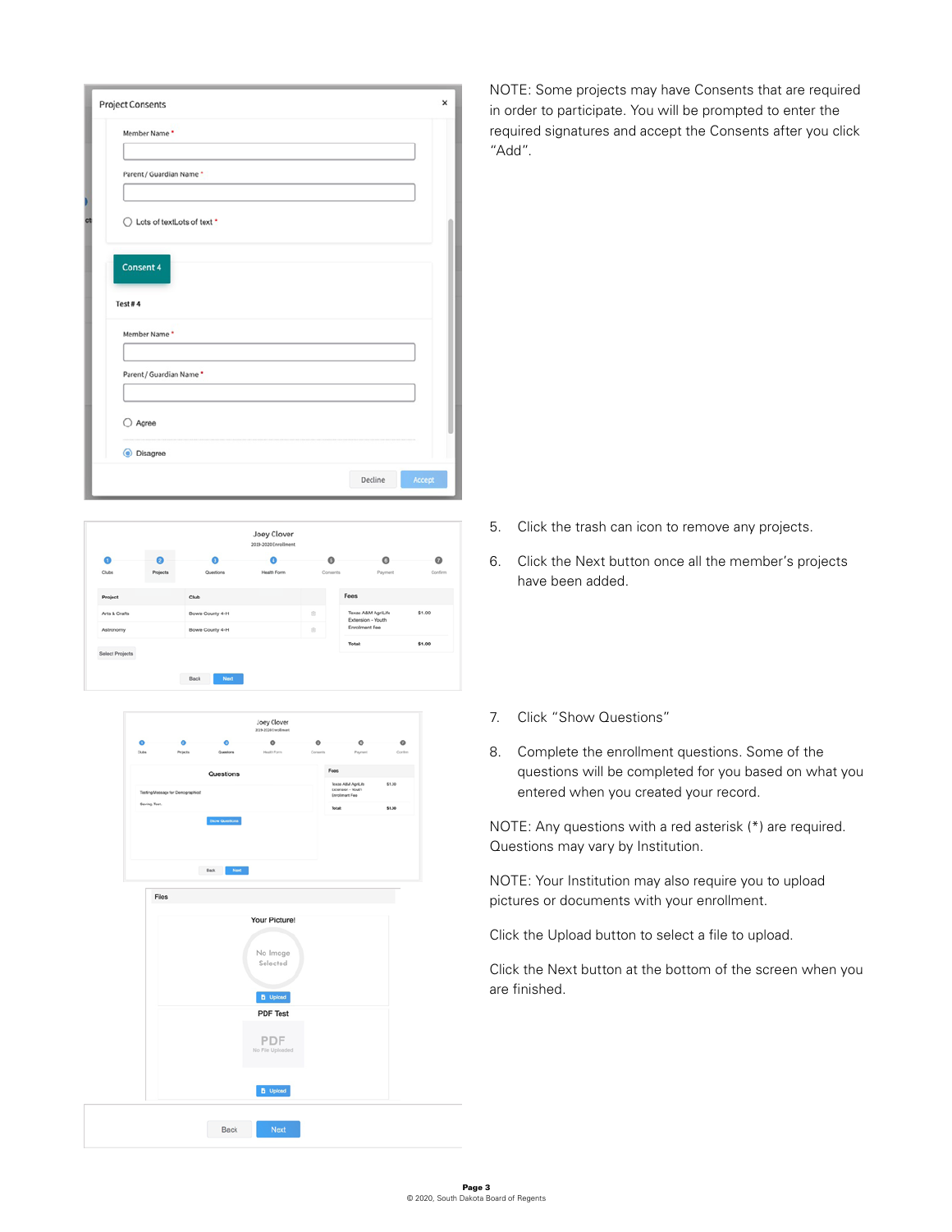| <b>Project Consents</b>      |  |
|------------------------------|--|
| Member Name*                 |  |
| Parent / Guardian Name *     |  |
| ◯ Lots of textLots of text * |  |
| Consent 4                    |  |
|                              |  |
| Test#4                       |  |
| Member Name*                 |  |
| Parent / Guardian Name *     |  |
|                              |  |
| ○ Agree                      |  |
| C Disagree                   |  |

NOTE: Some projects may have Consents that are required in order to participate. You will be prompted to enter the required signatures and accept the Consents after you click "Add".

- 5. Click the trash can icon to remove any projects.
	- 6. Click the Next button once all the member's projects have been added.
- Joey Clover  $\bullet$  $\bullet$  $\bullet$  $\circ$  $\bullet$  $\circ$ \$1.00 Arts & Crafts nty 4-H inty 4-H \$1.00





- 7. Click "Show Questions"
- 8. Complete the enrollment questions. Some of the questions will be completed for you based on what you entered when you created your record.

NOTE: Any questions with a red asterisk (\*) are required. Questions may vary by Institution.

NOTE: Your Institution may also require you to upload pictures or documents with your enrollment.

Click the Upload button to select a file to upload.

Click the Next button at the bottom of the screen when you are finished.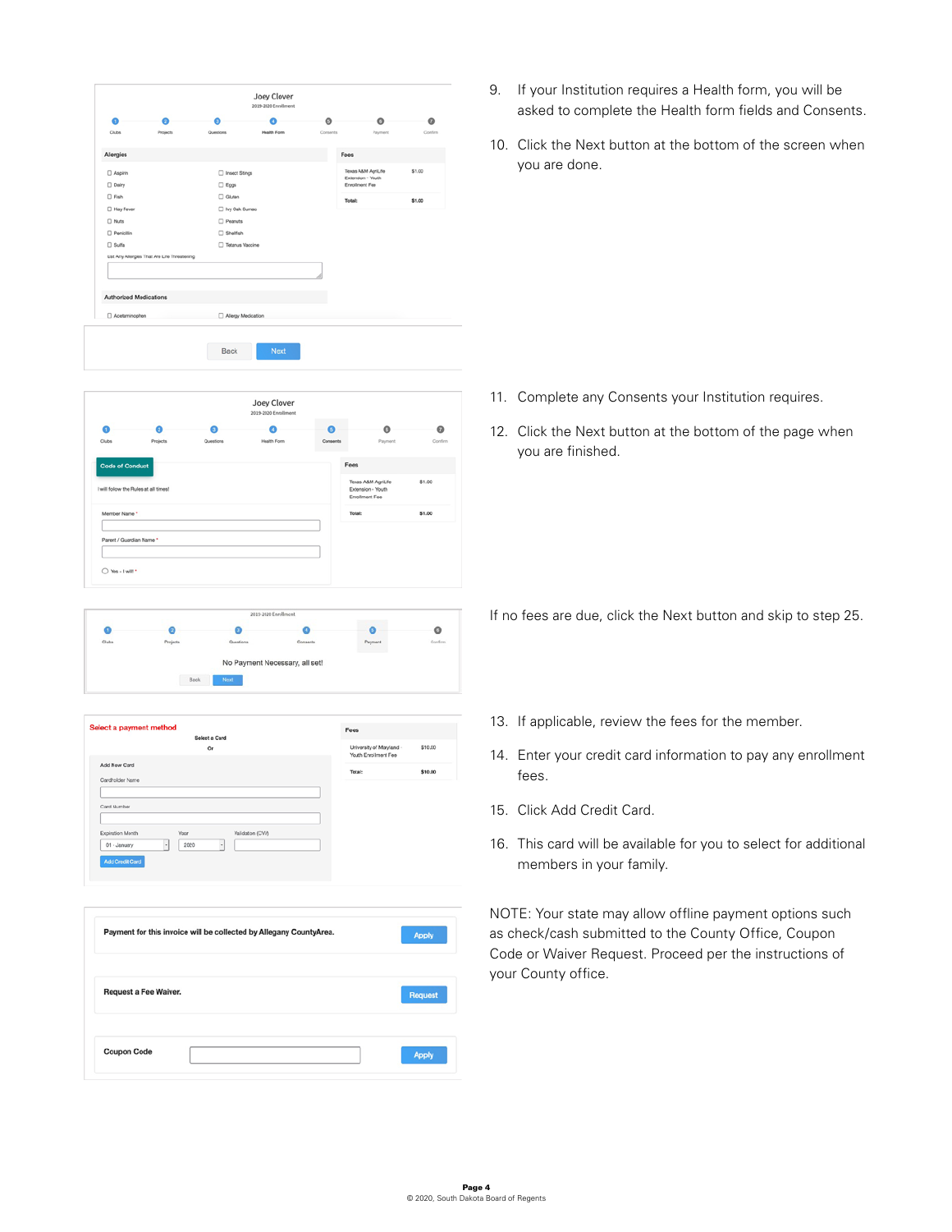|                                       |                                              |                                                                    | Joey Clover<br>2019-2120 Enrollment |               |                                         |                     |
|---------------------------------------|----------------------------------------------|--------------------------------------------------------------------|-------------------------------------|---------------|-----------------------------------------|---------------------|
| 0<br>Clubs                            | Projects                                     | ഒ<br>Questions                                                     | ٥<br><b>Health Form</b>             | ۰<br>Consents | ۰<br>Paumert                            | $\bullet$<br>Contin |
|                                       |                                              |                                                                    |                                     |               |                                         |                     |
| Allergies                             |                                              |                                                                    |                                     |               | Fees                                    |                     |
| □ Aspirin                             |                                              | nect Stings                                                        |                                     |               | Texas A&M AgriLife<br>Extension - Youth | \$1.00              |
| $\Box$ Dairy                          |                                              | $\Box$ Eggs                                                        |                                     |               | <b>Enrolment Fee</b>                    |                     |
| $\Box$ Fish<br>Hay Fever              |                                              | $\square$ Gluten<br>□ Ivy Oak Sumac                                |                                     |               | <b>Total:</b>                           | \$1.00              |
| $\Box$ Nuts                           |                                              | $\square$ Peanuts                                                  |                                     |               |                                         |                     |
| <b>Penicillin</b>                     |                                              | Shelfsh                                                            |                                     |               |                                         |                     |
| $\Box$ Sulfa                          |                                              | Tetanus Vaccine                                                    |                                     |               |                                         |                     |
|                                       | List Any Allergies That Are Life Threatening |                                                                    |                                     |               |                                         |                     |
|                                       |                                              |                                                                    |                                     |               |                                         |                     |
| Authorized Medications                |                                              |                                                                    |                                     |               |                                         |                     |
| Acetaminophen                         |                                              | Nergy Medication                                                   |                                     |               |                                         |                     |
|                                       |                                              | Back                                                               | Next                                |               |                                         |                     |
|                                       |                                              |                                                                    | Joey Clover<br>2019-2020 Enrollment |               |                                         |                     |
| Q                                     | Θ                                            | ຄ                                                                  | ۰                                   | Θ             | ø                                       | $\circ$             |
| Clubs                                 | Projects                                     | $\alpha$<br>ations                                                 | Health Form                         | Cons          | Payment                                 | Confirm             |
|                                       |                                              |                                                                    |                                     |               |                                         |                     |
| <b>Code of Conduct</b>                |                                              |                                                                    |                                     |               | Fees                                    |                     |
| I will follow the Rules at all times! |                                              |                                                                    |                                     |               | Texas A&M AgriLife<br>Extension - Youth | \$1.00              |
|                                       |                                              |                                                                    |                                     |               | <b>Enrolment Fee</b>                    |                     |
| Member Name *                         |                                              |                                                                    |                                     |               | Total:                                  | \$1.00              |
| O Yes-I will!                         |                                              |                                                                    |                                     |               |                                         |                     |
|                                       |                                              |                                                                    | 2019-2020 Enrollment                |               |                                         |                     |
| o                                     | Θ                                            | ۰                                                                  |                                     |               | $\bullet$                               | ۰                   |
| Clubs                                 | Projects                                     | Questions                                                          |                                     | Consents      | Payment                                 | Confirm             |
|                                       |                                              | Beck<br>Next                                                       | No Payment Necessary, all set!      |               |                                         |                     |
| Select a payment method               |                                              | Select a Card                                                      |                                     |               | Fees                                    |                     |
|                                       |                                              | Or                                                                 |                                     |               | University of Maryland -                | \$10.00             |
| Add New Card                          |                                              |                                                                    |                                     |               | Youth Enrolment Fee                     |                     |
| Cardholder N                          |                                              |                                                                    |                                     |               | Total:                                  | \$10.00             |
|                                       |                                              |                                                                    |                                     |               |                                         |                     |
| Card Number                           |                                              |                                                                    |                                     |               |                                         |                     |
|                                       |                                              |                                                                    |                                     |               |                                         |                     |
|                                       |                                              |                                                                    |                                     |               |                                         |                     |
| Expiration Month<br>01 - January      | Yoor<br>$\cdot$<br>2020                      | $\overline{\phantom{a}}$                                           | Validation (CVV)                    |               |                                         |                     |
| Add Credit Card                       |                                              |                                                                    |                                     |               |                                         |                     |
|                                       |                                              |                                                                    |                                     |               |                                         |                     |
|                                       |                                              | Payment for this invoice will be collected by Allegany CountyArea. |                                     |               |                                         |                     |
|                                       |                                              |                                                                    |                                     |               |                                         | <b>Apply</b>        |

Coupon Code

- 9. If your Institution requires a Health form, you will be asked to complete the Health form fields and Consents.
- 10. Click the Next button at the bottom of the screen when you are done.

- 11. Complete any Consents your Institution requires.
- 12. Click the Next button at the bottom of the page when you are finished.

If no fees are due, click the Next button and skip to step 25.

- 13. If applicable, review the fees for the member.
- 14. Enter your credit card information to pay any enrollment fees.
- 15. Click Add Credit Card.
- 16. This card will be available for you to select for additional members in your family.

NOTE: Your state may allow offline payment options such as check/cash submitted to the County Office, Coupon Code or Waiver Request. Proceed per the instructions of your County office.

Apply